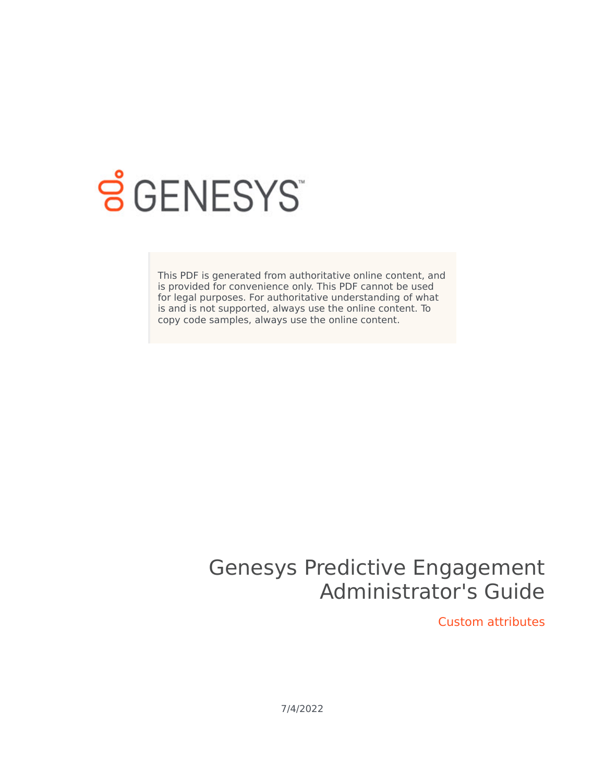

# **SGENESYS**

This PDF is generated from authoritative online content, and is provided for convenience only. This PDF cannot be used for legal purposes. For authoritative understanding of what is and is not supported, always use the online content. To copy code samples, always use the online content.

# Genesys Predictive Engagement Administrator's Guide

Custom attributes

7/4/2022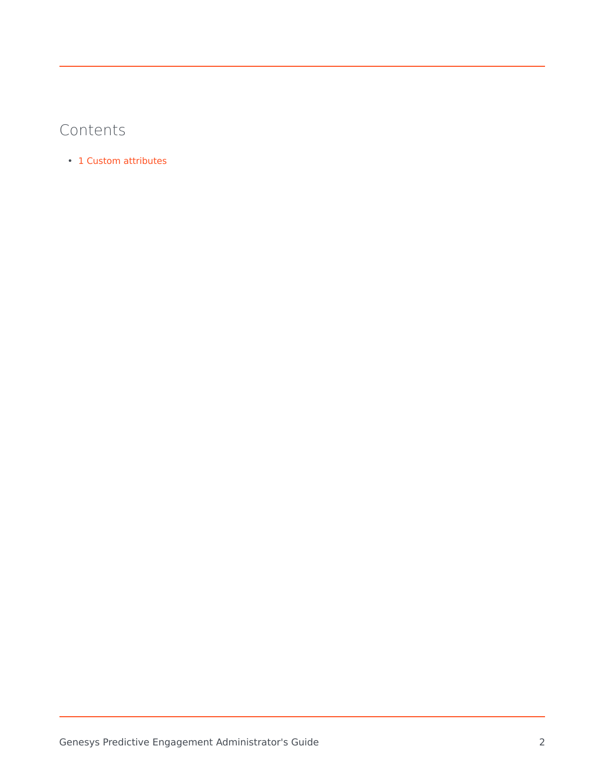## Contents

• 1 [Custom attributes](#page-2-0)